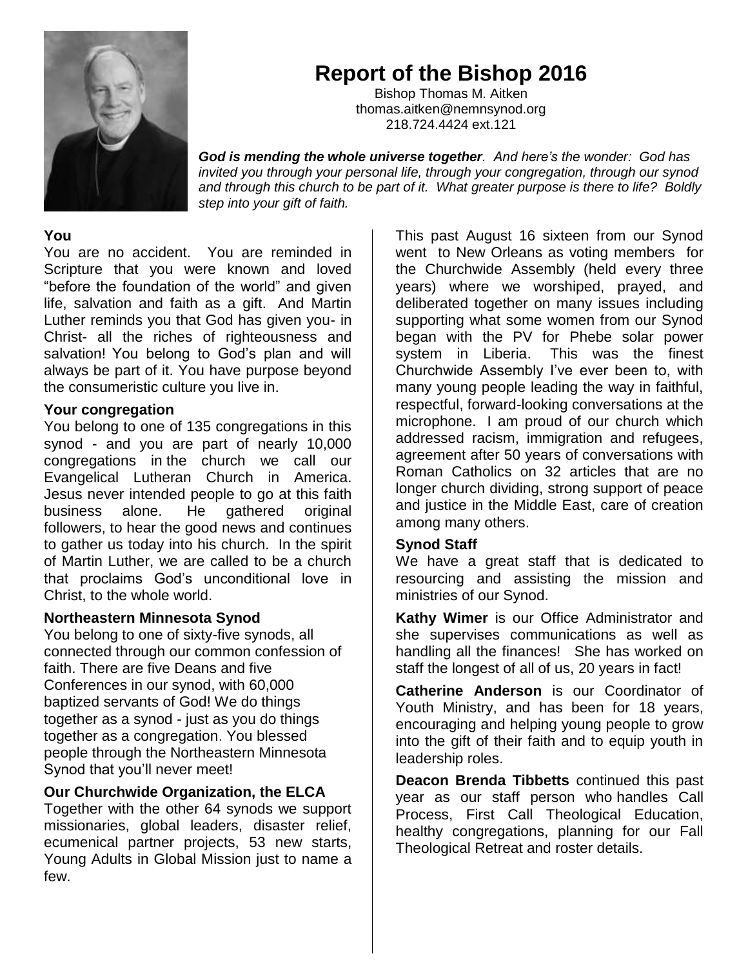

# **Report of the Bishop 2016**

Bishop Thomas M. Aitken thomas.aitken@nemnsynod.org 218.724.4424 ext.121

*God is mending the whole universe together. And here's the wonder: God has invited you through your personal life, through your congregation, through our synod and through this church to be part of it. What greater purpose is there to life? Boldly step into your gift of faith.* 

## **You**

You are no accident. You are reminded in Scripture that you were known and loved "before the foundation of the world" and given life, salvation and faith as a gift. And Martin Luther reminds you that God has given you- in Christ- all the riches of righteousness and salvation! You belong to God's plan and will always be part of it. You have purpose beyond the consumeristic culture you live in.

# **Your congregation**

You belong to one of 135 congregations in this synod - and you are part of nearly 10,000 congregations in the church we call our Evangelical Lutheran Church in America. Jesus never intended people to go at this faith business alone. He gathered original followers, to hear the good news and continues to gather us today into his church. In the spirit of Martin Luther, we are called to be a church that proclaims God's unconditional love in Christ, to the whole world.

# **Northeastern Minnesota Synod**

You belong to one of sixty-five synods, all connected through our common confession of faith. There are five Deans and five Conferences in our synod, with 60,000 baptized servants of God! We do things together as a synod - just as you do things together as a congregation. You blessed people through the Northeastern Minnesota Synod that you'll never meet!

# **Our Churchwide Organization, the ELCA**

Together with the other 64 synods we support missionaries, global leaders, disaster relief, ecumenical partner projects, 53 new starts, Young Adults in Global Mission just to name a few.

This past August 16 sixteen from our Synod went to New Orleans as voting members for the Churchwide Assembly (held every three years) where we worshiped, prayed, and deliberated together on many issues including supporting what some women from our Synod began with the PV for Phebe solar power system in Liberia. This was the finest Churchwide Assembly I've ever been to, with many young people leading the way in faithful, respectful, forward-looking conversations at the microphone. I am proud of our church which addressed racism, immigration and refugees, agreement after 50 years of conversations with Roman Catholics on 32 articles that are no longer church dividing, strong support of peace and justice in the Middle East, care of creation among many others.

# **Synod Staff**

We have a great staff that is dedicated to resourcing and assisting the mission and ministries of our Synod.

**Kathy Wimer** is our Office Administrator and she supervises communications as well as handling all the finances! She has worked on staff the longest of all of us, 20 years in fact!

**Catherine Anderson** is our Coordinator of Youth Ministry, and has been for 18 years, encouraging and helping young people to grow into the gift of their faith and to equip youth in leadership roles.

**Deacon Brenda Tibbetts** continued this past year as our staff person who handles Call Process, First Call Theological Education, healthy congregations, planning for our Fall Theological Retreat and roster details.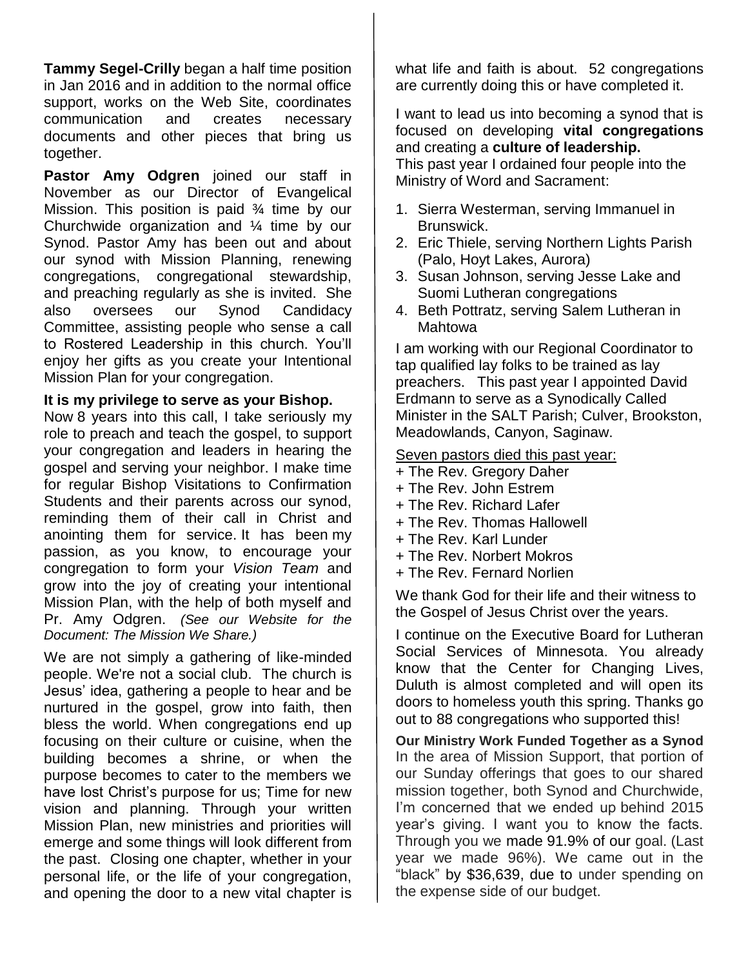**Tammy Segel-Crilly** began a half time position in Jan 2016 and in addition to the normal office support, works on the Web Site, coordinates communication and creates necessary documents and other pieces that bring us together.

**Pastor Amy Odgren** joined our staff in November as our Director of Evangelical Mission. This position is paid  $\frac{3}{4}$  time by our Churchwide organization and ¼ time by our Synod. Pastor Amy has been out and about our synod with Mission Planning, renewing congregations, congregational stewardship, and preaching regularly as she is invited. She also oversees our Synod Candidacy Committee, assisting people who sense a call to Rostered Leadership in this church. You'll enjoy her gifts as you create your Intentional Mission Plan for your congregation.

### **It is my privilege to serve as your Bishop.**

Now 8 years into this call, I take seriously my role to preach and teach the gospel, to support your congregation and leaders in hearing the gospel and serving your neighbor. I make time for regular Bishop Visitations to Confirmation Students and their parents across our synod, reminding them of their call in Christ and anointing them for service. It has been my passion, as you know, to encourage your congregation to form your *Vision Team* and grow into the joy of creating your intentional Mission Plan, with the help of both myself and Pr. Amy Odgren. *(See our Website for the Document: The Mission We Share.)*

We are not simply a gathering of like-minded people. We're not a social club. The church is Jesus' idea, gathering a people to hear and be nurtured in the gospel, grow into faith, then bless the world. When congregations end up focusing on their culture or cuisine, when the building becomes a shrine, or when the purpose becomes to cater to the members we have lost Christ's purpose for us; Time for new vision and planning. Through your written Mission Plan, new ministries and priorities will emerge and some things will look different from the past. Closing one chapter, whether in your personal life, or the life of your congregation, and opening the door to a new vital chapter is

what life and faith is about. 52 congregations are currently doing this or have completed it.

I want to lead us into becoming a synod that is focused on developing **vital congregations** and creating a **culture of leadership.**  This past year I ordained four people into the Ministry of Word and Sacrament:

- 1. Sierra Westerman, serving Immanuel in Brunswick.
- 2. Eric Thiele, serving Northern Lights Parish (Palo, Hoyt Lakes, Aurora)
- 3. Susan Johnson, serving Jesse Lake and Suomi Lutheran congregations
- 4. Beth Pottratz, serving Salem Lutheran in **Mahtowa**

I am working with our Regional Coordinator to tap qualified lay folks to be trained as lay preachers. This past year I appointed David Erdmann to serve as a Synodically Called Minister in the SALT Parish; Culver, Brookston, Meadowlands, Canyon, Saginaw.

### Seven pastors died this past year:

- + The Rev. Gregory Daher
- + The Rev. John Estrem
- + The Rev. Richard Lafer
- + The Rev. Thomas Hallowell
- + The Rev. Karl Lunder
- + The Rev. Norbert Mokros
- + The Rev. Fernard Norlien

We thank God for their life and their witness to the Gospel of Jesus Christ over the years.

I continue on the Executive Board for Lutheran Social Services of Minnesota. You already know that the Center for Changing Lives, Duluth is almost completed and will open its doors to homeless youth this spring. Thanks go out to 88 congregations who supported this!

**Our Ministry Work Funded Together as a Synod** In the area of Mission Support, that portion of our Sunday offerings that goes to our shared mission together, both Synod and Churchwide, I'm concerned that we ended up behind 2015 year's giving. I want you to know the facts. Through you we made 91.9% of our goal. (Last year we made 96%). We came out in the "black" by \$36,639, due to under spending on the expense side of our budget.